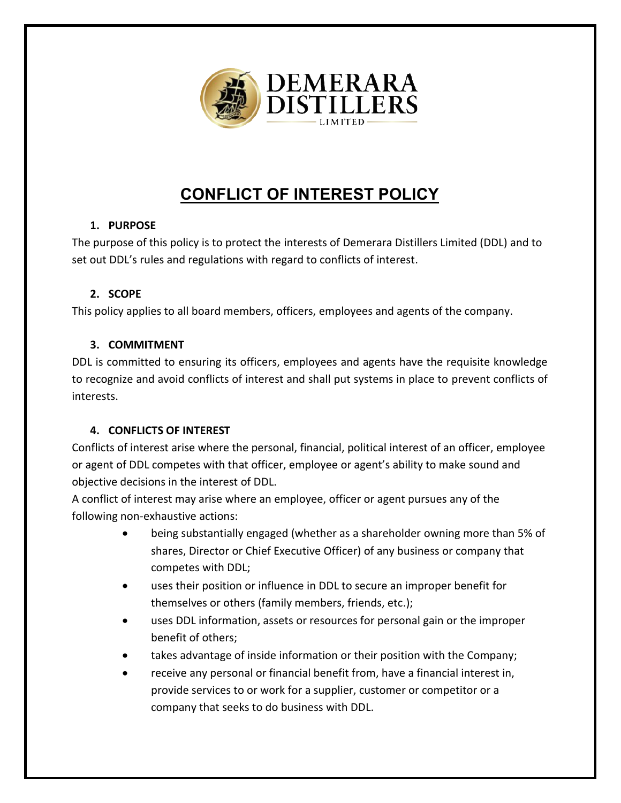

# **CONFLICT OF INTEREST POLICY**

## **1. PURPOSE**

The purpose of this policy is to protect the interests of Demerara Distillers Limited (DDL) and to set out DDL's rules and regulations with regard to conflicts of interest.

## **2. SCOPE**

This policy applies to all board members, officers, employees and agents of the company.

## **3. COMMITMENT**

DDL is committed to ensuring its officers, employees and agents have the requisite knowledge to recognize and avoid conflicts of interest and shall put systems in place to prevent conflicts of interests.

## **4. CONFLICTS OF INTEREST**

Conflicts of interest arise where the personal, financial, political interest of an officer, employee or agent of DDL competes with that officer, employee or agent's ability to make sound and objective decisions in the interest of DDL.

A conflict of interest may arise where an employee, officer or agent pursues any of the following non-exhaustive actions:

- being substantially engaged (whether as a shareholder owning more than 5% of shares, Director or Chief Executive Officer) of any business or company that competes with DDL;
- uses their position or influence in DDL to secure an improper benefit for themselves or others (family members, friends, etc.);
- uses DDL information, assets or resources for personal gain or the improper benefit of others;
- takes advantage of inside information or their position with the Company;
- receive any personal or financial benefit from, have a financial interest in, provide services to or work for a supplier, customer or competitor or a company that seeks to do business with DDL.